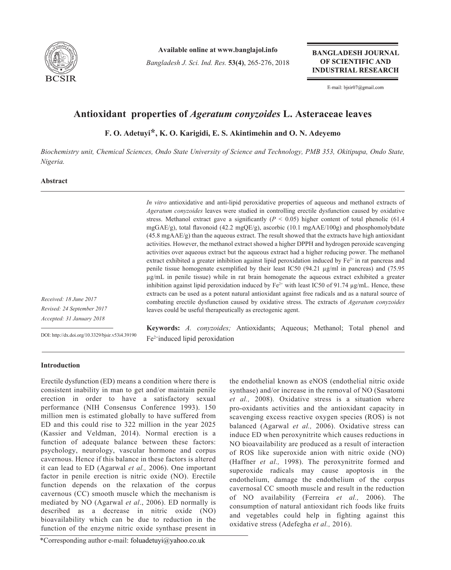

**Available online at www.banglajol.info**

*Bangladesh J. Sci. Ind. Res.* **53(4)**, 265-276, 2018

**BANGLADESH JOURNAL** OF SCIENTIFIC AND **INDUSTRIAL RESEARCH** 

E-mail: bjsir07@gmail.com

# **Antioxidant properties of** *Ageratum conyzoides* **L. Asteraceae leaves**

**F. O. Adetuyi\*, K. O. Karigidi, E. S. Akintimehin and O. N. Adeyemo**

*Biochemistry unit, Chemical Sciences, Ondo State University of Science and Technology, PMB 353, Okitipupa, Ondo State, Nigeria.*

# **Abstract**

*In vitro* antioxidative and anti-lipid peroxidative properties of aqueous and methanol extracts of *Ageratum conyzoides* leaves were studied in controlling erectile dysfunction caused by oxidative stress. Methanol extract gave a significantly  $(P < 0.05)$  higher content of total phenolic (61.4) mgGAE/g), total flavonoid (42.2 mgQE/g), ascorbic (10.1 mgAAE/100g) and phosphomolybdate (45.8 mgAAE/g) than the aqueous extract. The result showed that the extracts have high antioxidant activities. However, the methanol extract showed a higher DPPH and hydrogen peroxide scavenging activities over aqueous extract but the aqueous extract had a higher reducing power. The methanol extract exhibited a greater inhibition against lipid peroxidation induced by  $Fe<sup>2+</sup>$  in rat pancreas and penile tissue homogenate exemplified by their least IC50 (94.21 µg/ml in pancreas) and (75.95 µg/mL in penile tissue) while in rat brain homogenate the aqueous extract exhibited a greater inhibition against lipid peroxidation induced by  $Fe^{2+}$  with least IC50 of 91.74  $\mu$ g/mL. Hence, these extracts can be used as a potent natural antioxidant against free radicals and as a natural source of combating erectile dysfunction caused by oxidative stress. The extracts of *Ageratum conyzoides*  leaves could be useful therapeutically as erectogenic agent.

*Received: 18 June 2017 Revised: 24 September 2017 Accepted: 31 January 2018*

DOI: http://dx.doi.org/10.3329/bjsir.v53i4.39190

**Keywords:** *A. conyzoides;* Antioxidants; Aqueous; Methanol; Total phenol and Fe2+induced lipid peroxidation

## **Introduction**

Erectile dysfunction (ED) means a condition where there is consistent inability in man to get and/or maintain penile erection in order to have a satisfactory sexual performance (NIH Consensus Conference 1993). 150 million men is estimated globally to have suffered from ED and this could rise to 322 million in the year 2025 (Kassier and Veldman, 2014). Normal erection is a function of adequate balance between these factors: psychology, neurology, vascular hormone and corpus cavernous. Hence if this balance in these factors is altered it can lead to ED (Agarwal *et al.,* 2006). One important factor in penile erection is nitric oxide (NO). Erectile function depends on the relaxation of the corpus cavernous (CC) smooth muscle which the mechanism is mediated by NO (Agarwal *et al*., 2006). ED normally is described as a decrease in nitric oxide (NO) bioavailability which can be due to reduction in the function of the enzyme nitric oxide synthase present in

the endothelial known as eNOS (endothelial nitric oxide synthase) and/or increase in the removal of NO (Sasatomi *et al.,* 2008). Oxidative stress is a situation where pro-oxidants activities and the antioxidant capacity in scavenging excess reactive oxygen species (ROS) is not balanced (Agarwal *et al.,* 2006). Oxidative stress can induce ED when peroxynitrite which causes reductions in NO bioavailability are produced as a result of interaction of ROS like superoxide anion with nitric oxide (NO) (Haffner *et al.,* 1998). The peroxynitrite formed and superoxide radicals may cause apoptosis in the endothelium, damage the endothelium of the corpus cavernosal CC smooth muscle and result in the reduction of NO availability (Ferreira *et al.,* 2006). The consumption of natural antioxidant rich foods like fruits and vegetables could help in fighting against this oxidative stress (Adefegha *et al.,* 2016).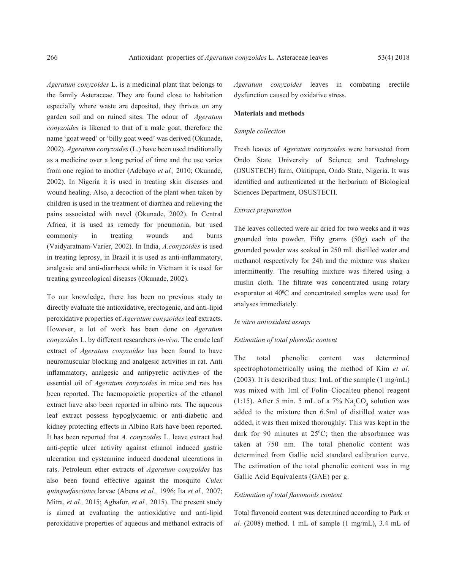*Ageratum conyzoides* L. is a medicinal plant that belongs to the family Asteraceae. They are found close to habitation especially where waste are deposited, they thrives on any garden soil and on ruined sites. The odour of *Ageratum conyzoides* is likened to that of a male goat, therefore the name 'goat weed' or 'billy goat weed' was derived (Okunade, 2002). *Ageratum conyzoides* (L.) have been used traditionally as a medicine over a long period of time and the use varies from one region to another (Adebayo *et al.,* 2010; Okunade, 2002). In Nigeria it is used in treating skin diseases and wound healing. Also, a decoction of the plant when taken by children is used in the treatment of diarrhea and relieving the pains associated with navel (Okunade, 2002). In Central Africa, it is used as remedy for pneumonia, but used commonly in treating wounds and burns (Vaidyaratnam-Varier, 2002). In India, *A.conyzoides* is used in treating leprosy, in Brazil it is used as anti-inflammatory, analgesic and anti-diarrhoea while in Vietnam it is used for treating gynecological diseases (Okunade, 2002).

To our knowledge, there has been no previous study to directly evaluate the antioxidative, erectogenic, and anti-lipid peroxidative properties of *Ageratum conyzoides* leaf extracts. However, a lot of work has been done on *Ageratum conyzoides* L. by different researchers *in-vivo*. The crude leaf extract of *Ageratum conyzoides* has been found to have neuromuscular blocking and analgesic activities in rat. Anti inflammatory, analgesic and antipyretic activities of the essential oil of *Ageratum conyzoides* in mice and rats has been reported. The haemopoietic properties of the ethanol extract have also been reported in albino rats. The aqueous leaf extract possess hypoglycaemic or anti-diabetic and kidney protecting effects in Albino Rats have been reported. It has been reported that *A. conyzoides* L. leave extract had anti-peptic ulcer activity against ethanol induced gastric ulceration and cysteamine induced duodenal ulcerations in rats. Petroleum ether extracts of *Ageratum conyzoides* has also been found effective against the mosquito *Culex quinquefasciatus* larvae (Abena *et al.,* 1996; Ita *et al.,* 2007; Mitra, *et al.,* 2015; Agbafor, *et al.,* 2015). The present study is aimed at evaluating the antioxidative and anti-lipid peroxidative properties of aqueous and methanol extracts of

*Ageratum conyzoides* leaves in combating erectile dysfunction caused by oxidative stress.

## **Materials and methods**

## *Sample collection*

Fresh leaves of *Ageratum conyzoides* were harvested from Ondo State University of Science and Technology (OSUSTECH) farm, Okitipupa, Ondo State, Nigeria. It was identified and authenticated at the herbarium of Biological Sciences Department, OSUSTECH.

#### *Extract preparation*

The leaves collected were air dried for two weeks and it was grounded into powder. Fifty grams (50g) each of the grounded powder was soaked in 250 mL distilled water and methanol respectively for 24h and the mixture was shaken intermittently. The resulting mixture was filtered using a muslin cloth. The filtrate was concentrated using rotary evaporator at 40<sup>o</sup>C and concentrated samples were used for analyses immediately.

#### *In vitro antioxidant assays*

#### *Estimation of total phenolic content*

The total phenolic content was determined spectrophotometrically using the method of Kim *et al.* (2003). It is described thus: 1mL of the sample (1 mg/mL) was mixed with 1ml of Folin–Ciocalteu phenol reagent (1:15). After 5 min, 5 mL of a  $7\%$  Na<sub>2</sub>CO<sub>3</sub> solution was added to the mixture then 6.5ml of distilled water was added, it was then mixed thoroughly. This was kept in the dark for 90 minutes at  $25^{\circ}$ C; then the absorbance was taken at 750 nm. The total phenolic content was determined from Gallic acid standard calibration curve. The estimation of the total phenolic content was in mg Gallic Acid Equivalents (GAE) per g.

## *Estimation of total flavonoids content*

Total flavonoid content was determined according to Park *et al.* (2008) method. 1 mL of sample (1 mg/mL), 3.4 mL of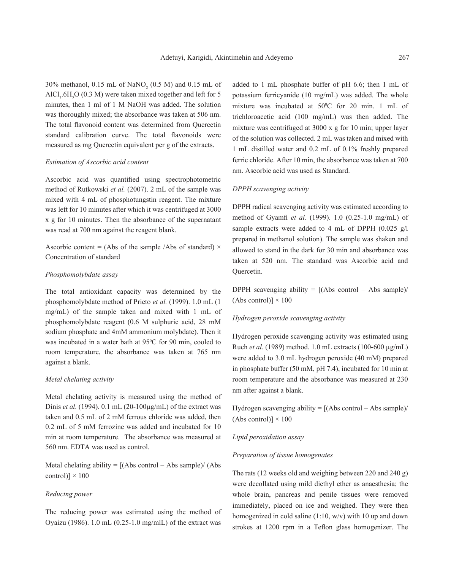30% methanol,  $0.15$  mL of NaNO<sub>2</sub> (0.5 M) and 0.15 mL of  $AICI<sub>3</sub>$ .6H<sub>2</sub>O (0.3 M) were taken mixed together and left for 5 minutes, then 1 ml of 1 M NaOH was added. The solution was thoroughly mixed; the absorbance was taken at 506 nm. The total flavonoid content was determined from Quercetin standard calibration curve. The total flavonoids were measured as mg Quercetin equivalent per g of the extracts.

## *Estimation of Ascorbic acid content*

Ascorbic acid was quantified using spectrophotometric method of Rutkowski *et al.* (2007). 2 mL of the sample was mixed with 4 mL of phosphotungstin reagent. The mixture was left for 10 minutes after which it was centrifuged at 3000 x g for 10 minutes. Then the absorbance of the supernatant was read at 700 nm against the reagent blank.

Ascorbic content = (Abs of the sample /Abs of standard)  $\times$ Concentration of standard

## *Phosphomolybdate assay*

The total antioxidant capacity was determined by the phosphomolybdate method of Prieto *et al.* (1999). 1.0 mL (1 mg/mL) of the sample taken and mixed with 1 mL of phosphomolybdate reagent (0.6 M sulphuric acid, 28 mM sodium phosphate and 4mM ammonium molybdate). Then it was incubated in a water bath at  $95^{\circ}$ C for 90 min, cooled to room temperature, the absorbance was taken at 765 nm against a blank.

#### *Metal chelating activity*

Metal chelating activity is measured using the method of Dinis *et al.* (1994). 0.1 mL (20-100µg/mL) of the extract was taken and 0.5 mL of 2 mM ferrous chloride was added, then 0.2 mL of 5 mM ferrozine was added and incubated for 10 min at room temperature. The absorbance was measured at 560 nm. EDTA was used as control.

Metal chelating ability  $=$  [(Abs control – Abs sample)/ (Abs control)]  $\times$  100

## *Reducing power*

The reducing power was estimated using the method of Oyaizu (1986). 1.0 mL (0.25-1.0 mg/mlL) of the extract was

added to 1 mL phosphate buffer of pH 6.6; then 1 mL of potassium ferricyanide (10 mg/mL) was added. The whole mixture was incubated at  $50^{\circ}$ C for 20 min. 1 mL of trichloroacetic acid (100 mg/mL) was then added. The mixture was centrifuged at 3000 x g for 10 min; upper layer of the solution was collected. 2 mL was taken and mixed with 1 mL distilled water and 0.2 mL of 0.1% freshly prepared ferric chloride. After 10 min, the absorbance was taken at 700 nm. Ascorbic acid was used as Standard.

## *DPPH scavenging activity*

DPPH radical scavenging activity was estimated according to method of Gyamfi *et al.* (1999). 1.0 (0.25-1.0 mg/mL) of sample extracts were added to 4 mL of DPPH (0.025 g/l prepared in methanol solution). The sample was shaken and allowed to stand in the dark for 30 min and absorbance was taken at 520 nm. The standard was Ascorbic acid and Quercetin.

DPPH scavenging ability  $=$   $[(Abs\ control - Abs\ sample)]$  $(Abs control) \times 100$ 

## *Hydrogen peroxide scavenging activity*

Hydrogen peroxide scavenging activity was estimated using Ruch *et al.* (1989) method. 1.0 mL extracts (100-600 µg/mL) were added to 3.0 mL hydrogen peroxide (40 mM) prepared in phosphate buffer (50 mM, pH 7.4), incubated for 10 min at room temperature and the absorbance was measured at 230 nm after against a blank.

Hydrogen scavenging ability  $= [(Abs\ control - Abs\ sample)]$  $(Abs control) \times 100$ 

#### *Lipid peroxidation assay*

#### *Preparation of tissue homogenates*

The rats (12 weeks old and weighing between 220 and 240 g) were decollated using mild diethyl ether as anaesthesia; the whole brain, pancreas and penile tissues were removed immediately, placed on ice and weighed. They were then homogenized in cold saline (1:10, w/v) with 10 up and down strokes at 1200 rpm in a Teflon glass homogenizer. The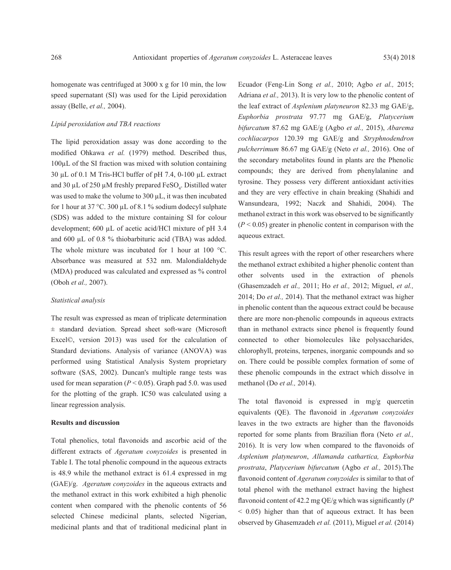homogenate was centrifuged at 3000 x g for 10 min, the low speed supernatant (SI) was used for the Lipid peroxidation assay (Belle, *et al.,* 2004).

#### *Lipid peroxidation and TBA reactions*

The lipid peroxidation assay was done according to the modified Ohkawa *et al.* (1979) method. Described thus, 100µL of the SI fraction was mixed with solution containing 30 µL of 0.1 M Tris-HCl buffer of pH 7.4, 0-100 µL extract and 30  $\mu$ L of 250  $\mu$ M freshly prepared FeSO<sub>4</sub>. Distilled water was used to make the volume to 300 µL, it was then incubated for 1 hour at  $37^{\circ}$ C.  $300 \mu L$  of  $8.1 \%$  sodium dodecyl sulphate (SDS) was added to the mixture containing SI for colour development; 600 µL of acetic acid/HCl mixture of pH 3.4 and 600 µL of 0.8 % thiobarbituric acid (TBA) was added. The whole mixture was incubated for 1 hour at 100 °C. Absorbance was measured at 532 nm. Malondialdehyde (MDA) produced was calculated and expressed as % control (Oboh *et al.,* 2007).

## *Statistical analysis*

The result was expressed as mean of triplicate determination ± standard deviation. Spread sheet soft-ware (Microsoft Excel©, version 2013) was used for the calculation of Standard deviations. Analysis of variance (ANOVA) was performed using Statistical Analysis System proprietary software (SAS, 2002). Duncan's multiple range tests was used for mean separation ( $P < 0.05$ ). Graph pad 5.0. was used for the plotting of the graph. IC50 was calculated using a linear regression analysis.

## **Results and discussion**

Total phenolics, total flavonoids and ascorbic acid of the different extracts of *Ageratum conyzoides* is presented in Table I. The total phenolic compound in the aqueous extracts is 48.9 while the methanol extract is 61.4 expressed in mg (GAE)/g. *Ageratum conyzoides* in the aqueous extracts and the methanol extract in this work exhibited a high phenolic content when compared with the phenolic contents of 56 selected Chinese medicinal plants, selected Nigerian, medicinal plants and that of traditional medicinal plant in Ecuador (Feng-Lin Song *et al.,* 2010; Agbo *et al.,* 2015; Adriana *et al.,* 2013). It is very low to the phenolic content of the leaf extract of *Asplenium platyneuron* 82.33 mg GAE/g, *Euphorbia prostrata* 97.77 mg GAE/g, *Platycerium bifurcatum* 87.62 mg GAE/g (Agbo *et al.,* 2015), *Abarema cochliacarpos* 120.39 mg GAE/g and *Stryphnodendron pulcherrimum* 86.67 mg GAE/g (Neto *et al.,* 2016). One of the secondary metabolites found in plants are the Phenolic compounds; they are derived from phenylalanine and tyrosine. They possess very different antioxidant activities and they are very effective in chain breaking (Shahidi and Wansundeara, 1992; Naczk and Shahidi, 2004). The methanol extract in this work was observed to be significantly  $(P < 0.05)$  greater in phenolic content in comparison with the aqueous extract.

This result agrees with the report of other researchers where the methanol extract exhibited a higher phenolic content than other solvents used in the extraction of phenols (Ghasemzadeh *et al.,* 2011; Ho *et al.,* 2012; Miguel, *et al.,* 2014; Do *et al.,* 2014). That the methanol extract was higher in phenolic content than the aqueous extract could be because there are more non-phenolic compounds in aqueous extracts than in methanol extracts since phenol is frequently found connected to other biomolecules like polysaccharides, chlorophyll, proteins, terpenes, inorganic compounds and so on. There could be possible complex formation of some of these phenolic compounds in the extract which dissolve in methanol (Do *et al.,* 2014).

The total flavonoid is expressed in mg/g quercetin equivalents (QE). The flavonoid in *Ageratum conyzoides* leaves in the two extracts are higher than the flavonoids reported for some plants from Brazilian flora (Neto *et al.,* 2016). It is very low when compared to the flavonoids of *Asplenium platyneuron*, *Allamanda cathartica, Euphorbia prostrata*, *Platycerium bifurcatum* (Agbo *et al.,* 2015).The flavonoid content of *Ageratum conyzoides* is similar to that of total phenol with the methanol extract having the highest flavonoid content of 42.2 mg QE/g which was significantly (*P*  $<$  0.05) higher than that of aqueous extract. It has been observed by Ghasemzadeh *et al.* (2011), Miguel *et al.* (2014)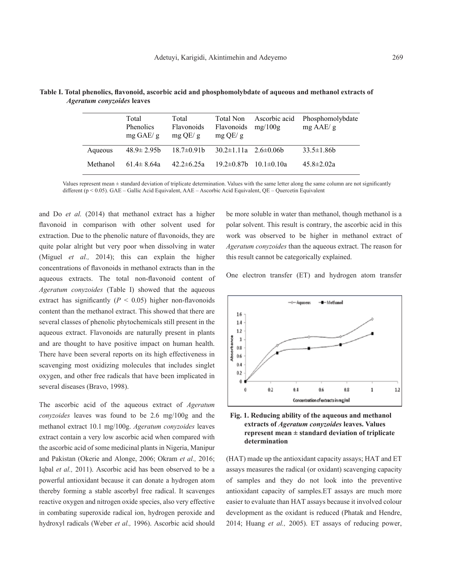|          | Total<br>Phenolics<br>$mg$ GAE/ g | Total<br><b>Flavonoids</b><br>$mg$ OE/ g | Total Non<br><b>Flavonoids</b><br>$mg$ QE/ g | Ascorbic acid<br>mg/100g | Phosphomolybdate<br>$mg$ AAE/ g |
|----------|-----------------------------------|------------------------------------------|----------------------------------------------|--------------------------|---------------------------------|
| Aqueous  | $48.9 \pm 2.95$                   | $18.7\pm0.91b$                           | $30.2 \pm 1.11a$ $2.6 \pm 0.06b$             |                          | $33.5 \pm 1.86b$                |
| Methanol | $61.4 \pm 8.64a$                  | $42.2 \pm 6.25a$                         | $19.2 \pm 0.87$                              | $101 \pm 010a$           | $45.8 \pm 2.02a$                |

**Table I. Total phenolics, flavonoid, ascorbic acid and phosphomolybdate of aqueous and methanol extracts of** *Ageratum conyzoides* **leaves**

Values represent mean ± standard deviation of triplicate determination. Values with the same letter along the same column are not significantly different (p < 0.05). GAE – Gallic Acid Equivalent, AAE – Ascorbic Acid Equivalent, QE – Quercetin Equivalent

and Do *et al.* (2014) that methanol extract has a higher flavonoid in comparison with other solvent used for extraction. Due to the phenolic nature of flavonoids, they are quite polar alright but very poor when dissolving in water (Miguel *et al.,* 2014); this can explain the higher concentrations of flavonoids in methanol extracts than in the aqueous extracts. The total non-flavonoid content of *Ageratum conyzoides* (Table I) showed that the aqueous extract has significantly ( $P < 0.05$ ) higher non-flavonoids content than the methanol extract. This showed that there are several classes of phenolic phytochemicals still present in the aqueous extract. Flavonoids are naturally present in plants and are thought to have positive impact on human health. There have been several reports on its high effectiveness in scavenging most oxidizing molecules that includes singlet oxygen, and other free radicals that have been implicated in several diseases (Bravo, 1998).

The ascorbic acid of the aqueous extract of *Ageratum conyzoides* leaves was found to be 2.6 mg/100g and the methanol extract 10.1 mg/100g. *Ageratum conyzoides* leaves extract contain a very low ascorbic acid when compared with the ascorbic acid of some medicinal plants in Nigeria, Manipur and Pakistan (Okerie and Alonge, 2006; Okram *et al.,* 2016; Iqbal *et al.,* 2011). Ascorbic acid has been observed to be a powerful antioxidant because it can donate a hydrogen atom thereby forming a stable ascorbyl free radical. It scavenges reactive oxygen and nitrogen oxide species, also very effective in combating superoxide radical ion, hydrogen peroxide and hydroxyl radicals (Weber *et al.,* 1996). Ascorbic acid should

be more soluble in water than methanol, though methanol is a polar solvent. This result is contrary, the ascorbic acid in this work was observed to be higher in methanol extract of *Ageratum conyzoides* than the aqueous extract. The reason for this result cannot be categorically explained.

One electron transfer (ET) and hydrogen atom transfer





(HAT) made up the antioxidant capacity assays; HAT and ET assays measures the radical (or oxidant) scavenging capacity of samples and they do not look into the preventive antioxidant capacity of samples.ET assays are much more easier to evaluate than HAT assays because it involved colour development as the oxidant is reduced (Phatak and Hendre, 2014; Huang *et al.,* 2005). ET assays of reducing power,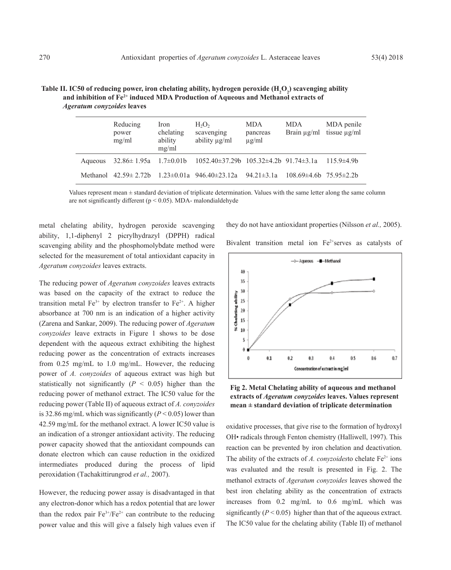|         | Reducing<br>power<br>mg/ml  | Iron<br>chelating<br>ability<br>mg/ml | $H_2O_2$<br>scavenging<br>ability µg/ml                                                   | <b>MDA</b><br>pancreas<br>$\mu$ g/ml | <b>MDA</b><br>Brain $\mu$ g/ml    | MDA penile<br>tissue $\mu$ g/ml |
|---------|-----------------------------|---------------------------------------|-------------------------------------------------------------------------------------------|--------------------------------------|-----------------------------------|---------------------------------|
| Aqueous |                             |                                       | $32.86 \pm 1.95a$ $1.7 \pm 0.01b$ $1052.40 \pm 37.29b$ $105.32 \pm 4.2b$ $91.74 \pm 3.1a$ |                                      |                                   | $115.9 \pm 4.9$ b               |
|         | Methanol $42.59 \pm 2.72$ b |                                       | $1.23 \pm 0.01a$ 946.40 $\pm$ 23.12a                                                      | $94.21 \pm 3.1a$                     | $108.69\pm4.6$ b 75.95 $\pm2.2$ b |                                 |

Table II. IC50 of reducing power, iron chelating ability, hydrogen peroxide  $\text{(H}_{2}\text{O}_{2}\text{)}$  scavenging ability  **and inhibition of Fe2+ induced MDA Production of Aqueous and Methanol extracts of** *Ageratum conyzoides* **leaves**

Values represent mean  $\pm$  standard deviation of triplicate determination. Values with the same letter along the same column are not significantly different ( $p < 0.05$ ). MDA- malondialdehyde

metal chelating ability, hydrogen peroxide scavenging ability, 1,1-diphenyl 2 picrylhydrazyl (DPPH) radical scavenging ability and the phosphomolybdate method were selected for the measurement of total antioxidant capacity in *Ageratum conyzoides* leaves extracts.

The reducing power of *Ageratum conyzoides* leaves extracts was based on the capacity of the extract to reduce the transition metal  $Fe^{3+}$  by electron transfer to  $Fe^{2+}$ . A higher absorbance at 700 nm is an indication of a higher activity (Zarena and Sankar, 2009). The reducing power of *Ageratum conyzoides* leave extracts in Figure 1 shows to be dose dependent with the aqueous extract exhibiting the highest reducing power as the concentration of extracts increases from 0.25 mg/mL to 1.0 mg/mL. However, the reducing power of *A. conyzoides* of aqueous extract was high but statistically not significantly  $(P < 0.05)$  higher than the reducing power of methanol extract. The IC50 value for the reducing power (Table II) of aqueous extract of *A. conyzoides* is 32.86 mg/mL which was significantly  $(P < 0.05)$  lower than 42.59 mg/mL for the methanol extract. A lower IC50 value is an indication of a stronger antioxidant activity. The reducing power capacity showed that the antioxidant compounds can donate electron which can cause reduction in the oxidized intermediates produced during the process of lipid peroxidation (Tachakittirungrod *et al.,* 2007).

However, the reducing power assay is disadvantaged in that any electron-donor which has a redox potential that are lower than the redox pair  $Fe^{3+}/Fe^{2+}$  can contribute to the reducing power value and this will give a falsely high values even if they do not have antioxidant properties (Nilsson *et al.,* 2005).

Bivalent transition metal ion Fe<sup>2+</sup>serves as catalysts of



**Fig 2. Metal Chelating ability of aqueous and methanol extracts of** *Ageratum conyzoides* **leaves. Values represent mean ± standard deviation of triplicate determination**

oxidative processes, that give rise to the formation of hydroxyl OH• radicals through Fenton chemistry (Halliwell, 1997). This reaction can be prevented by iron chelation and deactivation. The ability of the extracts of *A. conyzoides* to chelate  $Fe^{2+}$  ions was evaluated and the result is presented in Fig. 2. The methanol extracts of *Ageratum conyzoides* leaves showed the best iron chelating ability as the concentration of extracts increases from 0.2 mg/mL to 0.6 mg/mL which was significantly  $(P < 0.05)$  higher than that of the aqueous extract. The IC50 value for the chelating ability (Table II) of methanol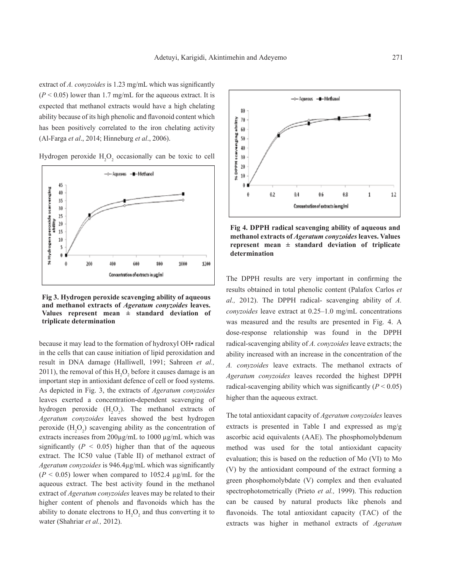extract of *A. conyzoides* is 1.23 mg/mL which was significantly  $(P < 0.05)$  lower than 1.7 mg/mL for the aqueous extract. It is expected that methanol extracts would have a high chelating ability because of its high phenolic and flavonoid content which has been positively correlated to the iron chelating activity (Al-Farga *et al*., 2014; Hinneburg *et al*., 2006).

Hydrogen peroxide  $H_2O_2$  occasionally can be toxic to cell



**Fig 3. Hydrogen peroxide scavenging ability of aqueous and methanol extracts of** *Ageratum conyzoides* **leaves. Values represent mean ± standard deviation of triplicate determination**

because it may lead to the formation of hydroxyl OH• radical in the cells that can cause initiation of lipid peroxidation and result in DNA damage (Halliwell, 1991; Sahreen *et al.,* 2011), the removal of this  $H_2O_2$  before it causes damage is an important step in antioxidant defence of cell or food systems. As depicted in Fig. 3, the extracts of *Ageratum conyzoides* leaves exerted a concentration-dependent scavenging of hydrogen peroxide  $(H_2O_2)$ . The methanol extracts of *Ageratum conyzoides* leaves showed the best hydrogen peroxide  $(H_2O_2)$  scavenging ability as the concentration of extracts increases from 200µg/mL to 1000 µg/mL which was significantly  $(P < 0.05)$  higher than that of the aqueous extract. The IC50 value (Table II) of methanol extract of *Ageratum conyzoides* is 946.4µg/mL which was significantly  $(P < 0.05)$  lower when compared to 1052.4  $\mu$ g/mL for the aqueous extract. The best activity found in the methanol extract of *Ageratum conyzoides* leaves may be related to their higher content of phenols and flavonoids which has the ability to donate electrons to  $H_2O_2$  and thus converting it to water (Shahriar *et al.,* 2012).



**Fig 4. DPPH radical scavenging ability of aqueous and methanol extracts of** *Ageratum conyzoides* **leaves. Values represent mean ± standard deviation of triplicate determination**

The DPPH results are very important in confirming the results obtained in total phenolic content (Palafox Carlos *et al.,* 2012). The DPPH radical- scavenging ability of *A. conyzoides* leave extract at 0.25–1.0 mg/mL concentrations was measured and the results are presented in Fig. 4. A dose-response relationship was found in the DPPH radical-scavenging ability of *A. conyzoides* leave extracts; the ability increased with an increase in the concentration of the *A. conyzoides* leave extracts. The methanol extracts of *Ageratum conyzoides* leaves recorded the highest DPPH radical-scavenging ability which was significantly  $(P < 0.05)$ higher than the aqueous extract.

The total antioxidant capacity of *Ageratum conyzoides* leaves extracts is presented in Table I and expressed as mg/g ascorbic acid equivalents (AAE). The phosphomolybdenum method was used for the total antioxidant capacity evaluation; this is based on the reduction of Mo (VI) to Mo (V) by the antioxidant compound of the extract forming a green phosphomolybdate (V) complex and then evaluated spectrophotometrically (Prieto *et al.,* 1999). This reduction can be caused by natural products like phenols and flavonoids. The total antioxidant capacity (TAC) of the extracts was higher in methanol extracts of *Ageratum*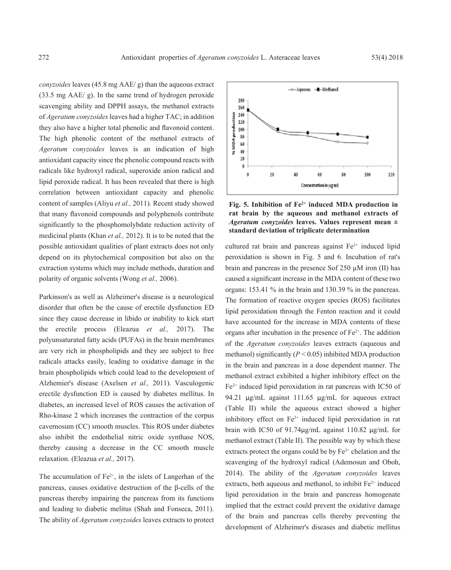*conyzoides* leaves (45.8 mg AAE/ g) than the aqueous extract (33.5 mg AAE/ g). In the same trend of hydrogen peroxide scavenging ability and DPPH assays, the methanol extracts of *Ageratum conyzoides* leaves had a higher TAC; in addition they also have a higher total phenolic and flavonoid content. The high phenolic content of the methanol extracts of *Ageratum conyzoides* leaves is an indication of high antioxidant capacity since the phenolic compound reacts with radicals like hydroxyl radical, superoxide anion radical and lipid peroxide radical. It has been revealed that there is high correlation between antioxidant capacity and phenolic content of samples (Aliyu *et al.,* 2011). Recent study showed that many flavonoid compounds and polyphenols contribute significantly to the phosphomolybdate reduction activity of medicinal plants (Khan *et al.,* 2012). It is to be noted that the possible antioxidant qualities of plant extracts does not only depend on its phytochemical composition but also on the extraction systems which may include methods, duration and polarity of organic solvents (Wong *et al.,* 2006).

Parkinson's as well as Alzheimer's disease is a neurological disorder that often be the cause of erectile dysfunction ED since they cause decrease in libido or inability to kick start the erectile process (Eleazua *et al.,* 2017). The polyunsaturated fatty acids (PUFAs) in the brain membranes are very rich in phospholipids and they are subject to free radicals attacks easily, leading to oxidative damage in the brain phospholipids which could lead to the development of Alzhemier's disease (Axelsen *et al.,* 2011). Vasculogenic erectile dysfunction ED is caused by diabetes mellitus. In diabetes, an increased level of ROS causes the activation of Rho-kinase 2 which increases the contraction of the corpus cavernosum (CC) smooth muscles. This ROS under diabetes also inhibit the endothelial nitric oxide synthase NOS, thereby causing a decrease in the CC smooth muscle relaxation. (Eleazua *et al.,* 2017).

The accumulation of  $Fe^{2+}$ , in the islets of Langerhan of the pancreas, causes oxidative destruction of the β-cells of the pancreas thereby impairing the pancreas from its functions and leading to diabetic melitus (Shah and Fonseca, 2011). The ability of *Ageratum conyzoides* leaves extracts to protect



Fig. 5. Inhibition of Fe<sup>2+</sup> induced MDA production in **rat brain by the aqueous and methanol extracts of**  *Ageratum conyzoides* **leaves. Values represent mean ± standard deviation of triplicate determination**

cultured rat brain and pancreas against  $Fe<sup>2+</sup>$  induced lipid peroxidation is shown in Fig. 5 and 6. Incubation of rat's brain and pancreas in the presence Sof  $250 \mu M$  iron (II) has caused a significant increase in the MDA content of these two organs: 153.41 % in the brain and 130.39 % in the pancreas. The formation of reactive oxygen species (ROS) facilitates lipid peroxidation through the Fenton reaction and it could have accounted for the increase in MDA contents of these organs after incubation in the presence of Fe2+. The addition of the *Ageratum conyzoides* leaves extracts (aqueous and methanol) significantly  $(P < 0.05)$  inhibited MDA production in the brain and pancreas in a dose dependent manner. The methanol extract exhibited a higher inhibitory effect on the  $Fe<sup>2+</sup>$  induced lipid peroxidation in rat pancreas with IC50 of 94.21 µg/mL against 111.65 µg/mL for aqueous extract (Table II) while the aqueous extract showed a higher inhibitory effect on  $Fe^{2+}$  induced lipid peroxidation in rat brain with IC50 of 91.74µg/mL against 110.82 µg/mL for methanol extract (Table II). The possible way by which these extracts protect the organs could be by  $Fe<sup>2+</sup>$  chelation and the scavenging of the hydroxyl radical (Ademosun and Oboh, 2014). The ability of the *Ageratum conyzoides* leaves extracts, both aqueous and methanol, to inhibit  $Fe<sup>2+</sup>$  induced lipid peroxidation in the brain and pancreas homogenate implied that the extract could prevent the oxidative damage of the brain and pancreas cells thereby preventing the development of Alzheimer's diseases and diabetic mellitus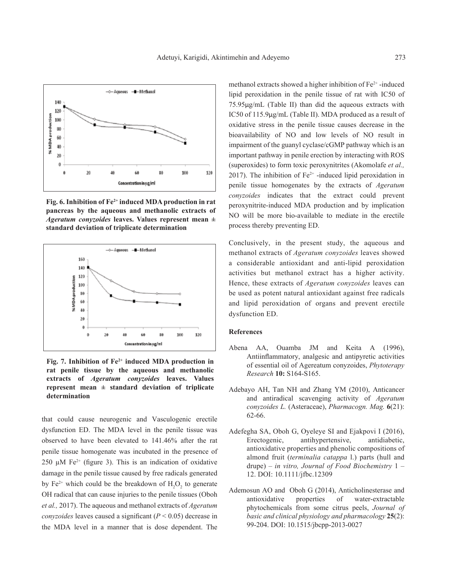

Fig. 6. Inhibition of Fe<sup>2+</sup> induced MDA production in rat **pancreas by the aqueous and methanolic extracts of**  *Ageratum conyzoides* **leaves. Values represent mean ± standard deviation of triplicate determination**



Fig. 7. Inhibition of Fe<sup>2+</sup> induced MDA production in **rat penile tissue by the aqueous and methanolic extracts of** *Ageratum conyzoides* **leaves. Values represent mean ± standard deviation of triplicate determination**

that could cause neurogenic and Vasculogenic erectile dysfunction ED. The MDA level in the penile tissue was observed to have been elevated to 141.46% after the rat penile tissue homogenate was incubated in the presence of 250  $\mu$ M Fe<sup>2+</sup> (figure 3). This is an indication of oxidative damage in the penile tissue caused by free radicals generated by  $Fe^{2+}$  which could be the breakdown of  $H_2O_2$  to generate OH radical that can cause injuries to the penile tissues (Oboh *et al.,* 2017). The aqueous and methanol extracts of *Ageratum conyzoides* leaves caused a significant  $(P < 0.05)$  decrease in the MDA level in a manner that is dose dependent. The

methanol extracts showed a higher inhibition of Fe<sup>2+</sup> -induced lipid peroxidation in the penile tissue of rat with IC50 of 75.95µg/mL (Table II) than did the aqueous extracts with IC50 of 115.9µg/mL (Table II). MDA produced as a result of oxidative stress in the penile tissue causes decrease in the bioavailability of NO and low levels of NO result in impairment of the guanyl cyclase/cGMP pathway which is an important pathway in penile erection by interacting with ROS (superoxides) to form toxic peroxynitrites (Akomolafe *et al.,* 2017). The inhibition of  $Fe<sup>2+</sup>$  -induced lipid peroxidation in penile tissue homogenates by the extracts of *Ageratum conyzoides* indicates that the extract could prevent peroxynitrite-induced MDA production and by implication NO will be more bio-available to mediate in the erectile process thereby preventing ED.

Conclusively, in the present study, the aqueous and methanol extracts of *Ageratum conyzoides* leaves showed a considerable antioxidant and anti-lipid peroxidation activities but methanol extract has a higher activity. Hence, these extracts of *Ageratum conyzoides* leaves can be used as potent natural antioxidant against free radicals and lipid peroxidation of organs and prevent erectile dysfunction ED.

# **References**

- Abena AA, Ouamba JM and Keita A (1996), Antiinflammatory, analgesic and antipyretic activities of essential oil of Agereatum conyzoides, *Phytoterapy Research* **10:** S164-S165.
- Adebayo AH, Tan NH and Zhang YM (2010), Anticancer and antiradical scavenging activity of *Ageratum conyzoides L.* (Asteraceae), *Pharmacogn. Mag.* **6**(21): 62-66.
- Adefegha SA, Oboh G, Oyeleye SI and Ejakpovi I (2016),<br>Erectogenic. antihypertensive, antidiabetic, Erectogenic, antihypertensive, antioxidative properties and phenolic compositions of almond fruit (*terminalia catappa* l.) parts (hull and drupe) – *in vitro, Journal of Food Biochemistry* 1 – 12. DOI: 10.1111/jfbc.12309
- Ademosun AO and Oboh G (2014), Anticholinesterase and antioxidative properties of water-extractable phytochemicals from some citrus peels, *Journal of basic and clinical physiology and pharmacology* **25**(2): 99-204. DOI: 10.1515/jbcpp-2013-0027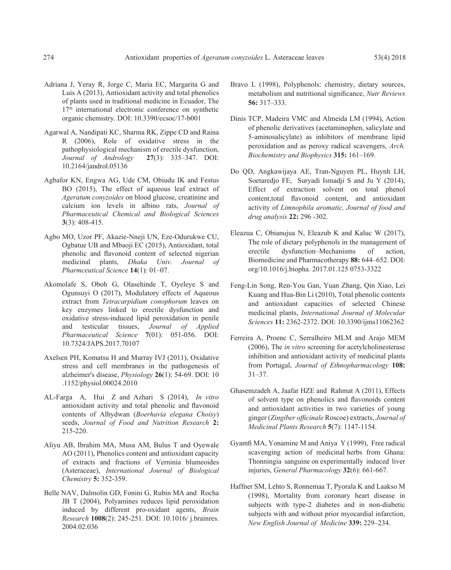- Adriana J, Yeray R, Jorge C, Maria EC, Margarita G and Luis A (2013), Antioxidant activity and total phenolics of plants used in traditional medicine in Ecuador, The 17<sup>th</sup> international electronic conference on synthetic organic chemistry. DOI: 10.3390/ecsoc/17-b001
- Agarwal A, Nandipati KC, Sharma RK, Zippe CD and Raina R (2006), Role of oxidative stress in the pathophysiological mechanism of erectile dysfunction, *Journal of Andrology* **27**(3): 335–347. DOI: 10.2164/jandrol.05136
- Agbafor KN, Engwa AG, Ude CM, Obiudu IK and Festus BO (2015), The effect of aqueous leaf extract of *Ageratum conyzoides* on blood glucose, creatinine and calcium ion levels in albino rats, *Journal of Pharmaceutical Chemical and Biological Sciences*  **3**(3): 408-415.
- Agbo MO, Uzor PF, Akazie-Nneji UN, Eze-Odurukwe CU, Ogbatue UB and Mbaoji EC (2015), Antioxidant, total phenolic and flavonoid content of selected nigerian medicinal plants, *Dhaka Univ. Journal of Pharmceutical Science* **14**(1): 01–07.
- Akomolafe S, Oboh G, Olasehinde T, Oyeleye S and Ogunsuyi O (2017), Modulatory effects of Aqueous extract from *Tetracarpidium conophorum* leaves on key enzymes linked to erectile dysfunction and oxidative stress-induced lipid peroxidation in penile and testicular tissues, *Journal of Applied Pharmaceutical Science* **7**(01): 051-056. DOI: 10.7324/JAPS.2017.70107
- Axelsen PH, Komatsu H and Murray IVJ (2011), Oxidative stress and cell membranes in the pathogenesis of alzheimer's disease, *Physiology* **26**(1): 54-69. DOI: 10 .1152/physiol.00024.2010
- AL-Farga A, Hui Z and Azhari S (2014), *In vitro*  antioxidant activity and total phenolic and flavonoid contents of Alhydwan (*Boerhavia elegana Choisy*) seeds, *Journal of Food and Nutrition Research* **2:** 215-220.
- Aliyu AB, Ibrahim MA, Musa AM, Bulus T and Oyewale AO (2011), Phenolics content and antioxidant capacity of extracts and fractions of Verninia blumeoides (Asteraceae), *International Journal of Biological Chemistry* **5:** 352-359.
- Belle NAV, Dalmolin GD, Fonini G, Rubin MA and Rocha JB T (2004), Polyamines reduces lipid peroxidation induced by different pro-oxidant agents, *Brain Research* **1008**(2): 245-251. DOI: 10.1016/ j.brainres. 2004.02.036
- Bravo L (1998), Polyphenols: chemistry, dietary sources, metabolism and nutritional significance, *Nutr Reviews*  **56:** 317–333.
- Dinis TCP, Madeira VMC and Almeida LM (1994), Action of phenolic derivatives (acetaminophen, salicylate and 5-aminosalicylate) as inhibitors of membrane lipid peroxidation and as peroxy radical scavengers, *Arch. Biochemistry and Biophysics* **315:** 161–169.
- Do QD, Angkawijaya AE, Tran-Nguyen PL, Huynh LH, Soetaredjo FE, Suryadi Ismadji S and Ju Y (2014), Effect of extraction solvent on total phenol content,total flavonoid content, and antioxidant activity of *Limnophila aromatic, Journal of food and drug analysis* **22:** 296 -302.
- Eleazua C, Obianujua N, Eleazub K and Kaluc W (2017), The role of dietary polyphenols in the management of erectile dysfunction–Mechanisms of action, Biomedicine and Pharmacotherapy **88:** 644–652. DOI: org/10.1016/j.biopha. 2017.01.125 0753-3322
- Feng-Lin Song, Ren-You Gan, Yuan Zhang, Qin Xiao, Lei Kuang and Hua-Bin Li (2010), Total phenolic contents and antioxidant capacities of selected Chinese medicinal plants, *International Journal of Molecular Sciences* **11:** 2362-2372. DOI: 10.3390/ijms11062362
- Ferreira A, Proenc C, Serralheiro MLM and Arajo MEM (2006), The *in vitro* screening for acetylcholinesterase inhibition and antioxidant activity of medicinal plants from Portugal, *Journal of Ethnopharmacology* **108:** 31–37.
- Ghasemzadeh A, Jaafar HZE and Rahmat A (2011), Effects of solvent type on phenolics and flavonoids content and antioxidant activities in two varieties of young ginger (*Zingiber officinale* Roscoe) extracts, *Journal of Medicinal Plants Research* **5**(7): 1147-1154.
- Gyamfi MA, Yonamine M and Aniya Y (1999), Free radical scavenging action of medicinal herbs from Ghana: Thonningia sanguine on experimentally induced liver injuries, *General Pharmacology* **32**(6): 661-667.
- Haffner SM, Lehto S, Ronnemaa T, Pyorala K and Laakso M (1998), Mortality from coronary heart disease in subjects with type-2 diabetes and in non-diabetic subjects with and without prior myocardial infarction, *New English Journal of Medicine* **339:** 229–234.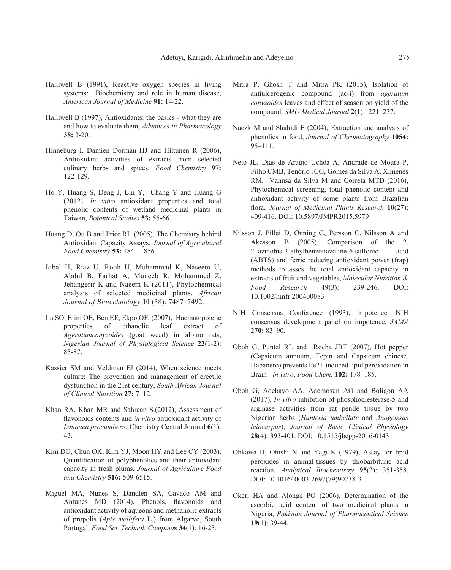- Halliwell B (1991), Reactive oxygen species in living systems: Biochemistry and role in human disease, *American Journal of Medicine* **91:** 14-22.
- Halliwell B (1997), Antioxidants: the basics what they are and how to evaluate them, *Advances in Pharmacology* **38:** 3-20.
- Hinneburg I, Damien Dorman HJ and Hiltunen R (2006), Antioxidant activities of extracts from selected culinary herbs and spices, *Food Chemistry* **97:**  122-129.
- Ho Y, Huang S, Deng J, Lin Y, Chang Y and Huang G (2012), *In vitro* antioxidant properties and total phenolic contents of wetland medicinal plants in Taiwan, *Botanical Studies* **53:** 55-66.
- Huang D, Ou B and Prior RL (2005), The Chemistry behind Antioxidant Capacity Assays, *Journal of Agricultural Food Chemistry* **53:** 1841-1856.
- Iqbal H, Riaz U, Rooh U, Muhammad K, Naseem U, Abdul B, Farhat A, Muneeb R, Mohammed Z, Jehangerir K and Naeem K (2011), Phytochemical analysis of selected medicinal plants, *African Journal of Biotechnology* **10** (38): 7487–7492.
- Ita SO, Etim OE, Ben EE, Ekpo OF, (2007), Haematopoietic properties of ethanolic leaf extract of *Ageratumconyzoides* (goat weed) in albino rats, *Nigerian Journal of Physiological Science* **22**(1-2): 83-87.
- Kassier SM and Veldman FJ (2014), When science meets culture: The prevention and management of erectile dysfunction in the 21st century, *South African Journal of Clinical Nutrition* **27:** 7–12.
- Khan RA, Khan MR and Sahreen S.(2012), Assessment of flavonoids contents and *in vitro* antioxidant activity of *Launaea procumbens.* Chemistry Central Journal **6**(1): 43.
- Kim DO, Chun OK, Kim YJ, Moon HY and Lee CY (2003), Quantification of polyphenolics and their antioxidant capacity in fresh plums, *Journal of Agriculture Food and Chemistry* **516:** 509-6515.
- Miguel MA, Nunes S, Dandlen SA, Cavaco AM and Antunes MD (2014), Phenols, flavonoids and antioxidant activity of aqueous and methanolic extracts of propolis (*Apis mellifera* L.) from Algarve, South Portugal, *Food Sci. Technol. Campina***s 34**(1): 16-23.
- Mitra P, Ghosh T and Mitra PK (2015), Isolation of antiulcerogenic compound (ac-i) from *ageratum conyzoides* leaves and effect of season on yield of the compound, *SMU Medical Journal* **2**(1): 221–237.
- Naczk M and Shahidi F (2004), Extraction and analysis of phenolics in food, *Journal of Chromatography* **1054:**  95–111.
- Neto JL, Dias de Araújo Uchôa A, Andrade de Moura P, Filho CMB, Tenório JCG, Gomes da Silva A, Ximenes RM, Vanusa da Silva M and Correia MTD (2016), Phytochemical screening, total phenolic content and antioxidant activity of some plants from Brazilian flora, *Journal of Medicinal Plants Research* **10**(27): 409-416. DOI: 10.5897/JMPR2015.5979
- Nilsson J, Pillai D, Onning G, Persson C, Nilsson A and Akesson B (2005), Comparison of the 2, 2'-azinobis-3-ethylbenzotiazoline-6-sulfonic acid (ABTS) and ferric reducing antioxidant power (frap) methods to asses the total antioxidant capacity in extracts of fruit and vegetables, *Molecular Nutrition & Food Research* **49**(3): 239-246. DOI: 10.1002/mnfr.200400083
- NIH Consensus Conference (1993), Impotence. NIH consensus development panel on impotence, *JAMA* **270:** 83–90.
- Oboh G, Puntel RL and Rocha JBT (2007), Hot pepper (Capsicum annuum, Tepin and Capsicum chinese, Habanero) prevents Fe21-induced lipid peroxidation in Brain - *in vitro*, *Food Chem.* **102:** 178–185.
- Oboh G, Adebayo AA, Ademosun AO and Boligon AA (2017), *In vitro* inhibition of phosphodiesterase-5 and arginase activities from rat penile tissue by two Nigerian herbs (*Hunteria umbellate* and *Anogeissus leiocarpus*), *Journal of Basic Clinical Physiology* **28**(4): 393-401. DOI: 10.1515/jbcpp-2016-0143
- Ohkawa H, Ohishi N and Yagi K (1979), Assay for lipid peroxides in animal-tissues by thiobarbituric acid reaction, *Analytical Biochemistry* **95**(2): 351-358. DOI: 10.1016/ 0003-2697(79)90738-3
- Okeri HA and Alonge PO (2006), Determination of the ascorbic acid content of two medicinal plants in Nigeria, *Pakistan Journal of Pharmaceutical Science* **19**(1): 39-44.